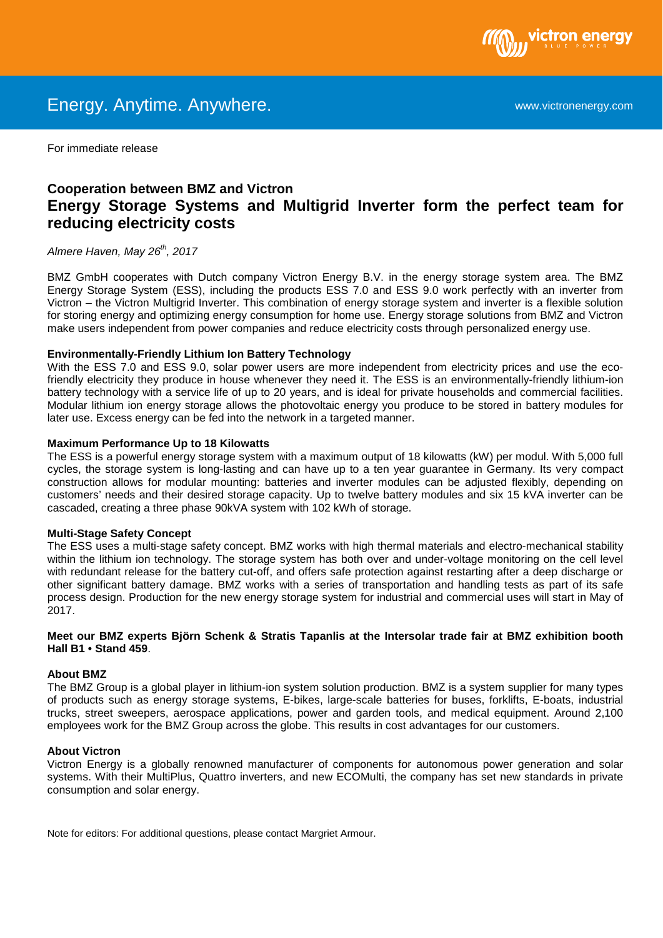

For immediate release

# **Cooperation between BMZ and Victron Energy Storage Systems and Multigrid Inverter form the perfect team for reducing electricity costs**

Almere Haven, May 26<sup>th</sup>, 2017

BMZ GmbH cooperates with Dutch company Victron Energy B.V. in the energy storage system area. The BMZ Energy Storage System (ESS), including the products ESS 7.0 and ESS 9.0 work perfectly with an inverter from Victron – the Victron Multigrid Inverter. This combination of energy storage system and inverter is a flexible solution for storing energy and optimizing energy consumption for home use. Energy storage solutions from BMZ and Victron make users independent from power companies and reduce electricity costs through personalized energy use.

### **Environmentally-Friendly Lithium Ion Battery Technology**

With the ESS 7.0 and ESS 9.0, solar power users are more independent from electricity prices and use the ecofriendly electricity they produce in house whenever they need it. The ESS is an environmentally-friendly lithium-ion battery technology with a service life of up to 20 years, and is ideal for private households and commercial facilities. Modular lithium ion energy storage allows the photovoltaic energy you produce to be stored in battery modules for later use. Excess energy can be fed into the network in a targeted manner.

### **Maximum Performance Up to 18 Kilowatts**

The ESS is a powerful energy storage system with a maximum output of 18 kilowatts (kW) per modul. With 5,000 full cycles, the storage system is long-lasting and can have up to a ten year guarantee in Germany. Its very compact construction allows for modular mounting: batteries and inverter modules can be adjusted flexibly, depending on customers' needs and their desired storage capacity. Up to twelve battery modules and six 15 kVA inverter can be cascaded, creating a three phase 90kVA system with 102 kWh of storage.

## **Multi-Stage Safety Concept**

The ESS uses a multi-stage safety concept. BMZ works with high thermal materials and electro-mechanical stability within the lithium ion technology. The storage system has both over and under-voltage monitoring on the cell level with redundant release for the battery cut-off, and offers safe protection against restarting after a deep discharge or other significant battery damage. BMZ works with a series of transportation and handling tests as part of its safe process design. Production for the new energy storage system for industrial and commercial uses will start in May of 2017.

### **Meet our BMZ experts Björn Schenk & Stratis Tapanlis at the Intersolar trade fair at BMZ exhibition booth Hall B1 • Stand 459**.

#### **About BMZ**

The BMZ Group is a global player in lithium-ion system solution production. BMZ is a system supplier for many types of products such as energy storage systems, E-bikes, large-scale batteries for buses, forklifts, E-boats, industrial trucks, street sweepers, aerospace applications, power and garden tools, and medical equipment. Around 2,100 employees work for the BMZ Group across the globe. This results in cost advantages for our customers.

#### **About Victron**

Victron Energy is a globally renowned manufacturer of components for autonomous power generation and solar systems. With their MultiPlus, Quattro inverters, and new ECOMulti, the company has set new standards in private consumption and solar energy.

Note for editors: For additional questions, please contact Margriet Armour.